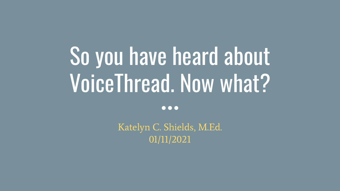# So you have heard about VoiceThread. Now what?

 $\bullet\bullet\bullet$ 

Katelyn C. Shields, M.Ed. 01/11/2021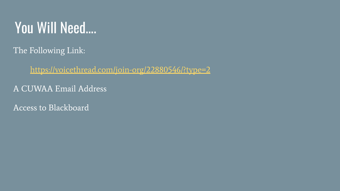### You Will Need….

The Following Link:

<https://voicethread.com/join-org/22880546/?type=2>

A CUWAA Email Address

Access to Blackboard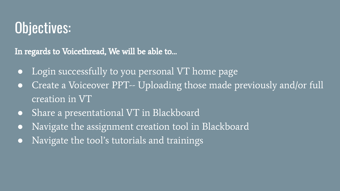# Objectives:

In regards to Voicethread, We will be able to…

- Login successfully to you personal VT home page
- Create a Voiceover PPT-- Uploading those made previously and/or full creation in VT
- Share a presentational VT in Blackboard
- Navigate the assignment creation tool in Blackboard
- Navigate the tool's tutorials and trainings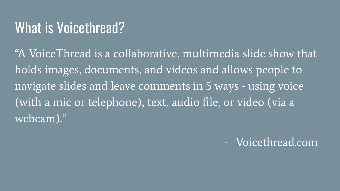#### What is Voicethread?

"A VoiceThread is a collaborative, multimedia slide show that holds images, documents, and videos and allows people to navigate slides and leave comments in 5 ways - using voice (with a mic or telephone), text, audio file, or video (via a webcam)."

- Voicethread.com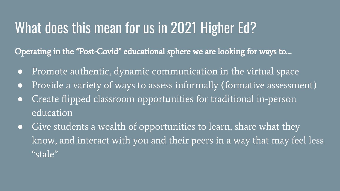### What does this mean for us in 2021 Higher Ed?

Operating in the "Post-Covid" educational sphere we are looking for ways to....

- Promote authentic, dynamic communication in the virtual space
- Provide a variety of ways to assess informally (formative assessment)
- Create flipped classroom opportunities for traditional in-person education
- Give students a wealth of opportunities to learn, share what they know, and interact with you and their peers in a way that may feel less "stale"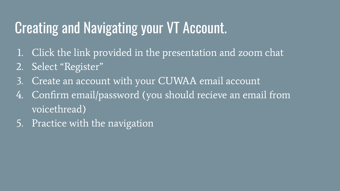# Creating and Navigating your VT Account.

- 1. Click the link provided in the presentation and zoom chat
- 2. Select "Register"
- 3. Create an account with your CUWAA email account
- 4. Confirm email/password (you should recieve an email from voicethread)
- 5. Practice with the navigation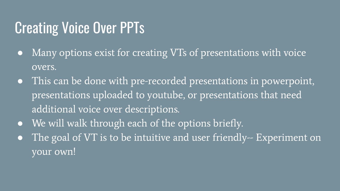# **Creating Voice Over PPTs**

- Many options exist for creating VTs of presentations with voice overs.
- This can be done with pre-recorded presentations in powerpoint, presentations uploaded to youtube, or presentations that need additional voice over descriptions.
- We will walk through each of the options briefly.
- The goal of VT is to be intuitive and user friendly-- Experiment on your own!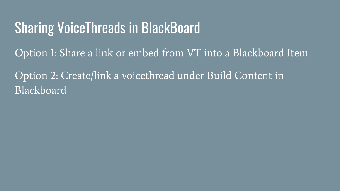#### Sharing VoiceThreads in BlackBoard

Option 1: Share a link or embed from VT into a Blackboard Item

Option 2: Create/link a voicethread under Build Content in Blackboard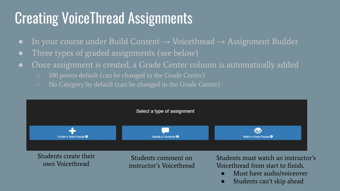# Creating VoiceThread Assignments

- In your course under Build Content  $\rightarrow$  Voicethread  $\rightarrow$  Assignment Builder
- Three types of graded assignments (see below)
- Once assignment is created, a Grade Center column is automatically added
	- 100 points default (can be changed in the Grade Center)
	- No Category by default (can be changed in the Grade Center)



Students can't skip ahead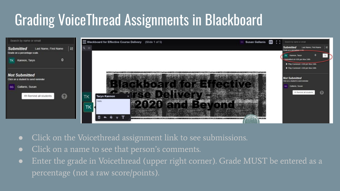# Grading VoiceThread Assignments in Blackboard



- Click on the Voicethread assignment link to see submissions.
- Click on a name to see that person's comments.
- Enter the grade in Voicethread (upper right corner). Grade MUST be entered as a percentage (not a raw score/points).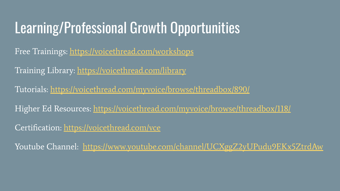# Learning/Professional Growth Opportunities

Free Trainings: <https://voicethread.com/workshops>

Training Library:<https://voicethread.com/library>

Tutorials:<https://voicethread.com/myvoice/browse/threadbox/890/>

Higher Ed Resources: <https://voicethread.com/myvoice/browse/threadbox/118/>

Certification: <https://voicethread.com/vce>

Youtube Channel: <https://www.youtube.com/channel/UCXggZ2yUPudu9EKx5ZtrdAw>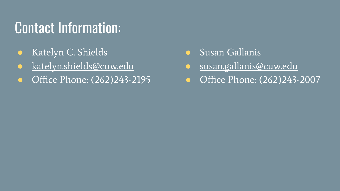# Contact Information:

- Katelyn C. Shields
- [katelyn.shields@cuw.edu](mailto:katelyn.shields@cuw.edu)
- Office Phone: (262)243-2195
- Susan Gallanis
- [susan.gallanis@cuw.edu](mailto:susan.gallanis@cuw.edu)
- Office Phone: (262)243-2007